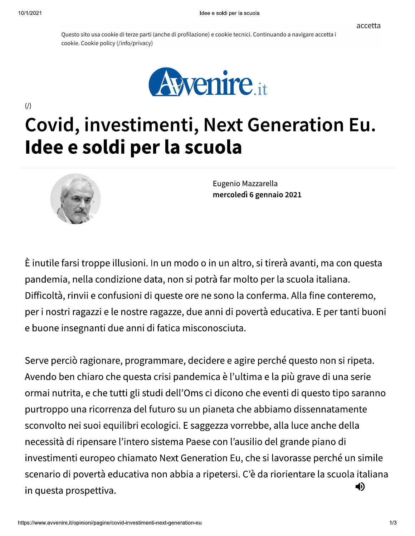$\langle \rangle$ 

Questo sito usa cookie di terze parti (anche di profilazione) e cookie tecnici. Continuando a navigare accetta i cookie. Cookie policy (/info/privacy)



## Covid, investimenti, Next Generation Eu. Idee e soldi per la scuola



Eugenio Mazzarella mercoledì 6 gennaio 2021

È inutile farsi troppe illusioni. In un modo o in un altro, si tirerà avanti, ma con questa pandemia, nella condizione data, non si potrà far molto per la scuola italiana. Difficoltà, rinvii e confusioni di queste ore ne sono la conferma. Alla fine conteremo, per i nostri ragazzi e le nostre ragazze, due anni di povertà educativa. E per tanti buoni e buone insegnanti due anni di fatica misconosciuta.

Serve perciò ragionare, programmare, decidere e agire perché questo non si ripeta. Avendo ben chiaro che questa crisi pandemica è l'ultima e la più grave di una serie ormai nutrita, e che tutti gli studi dell'Oms ci dicono che eventi di questo tipo saranno purtroppo una ricorrenza del futuro su un pianeta che abbiamo dissennatamente sconvolto nei suoi equilibri ecologici. E saggezza vorrebbe, alla luce anche della necessità di ripensare l'intero sistema Paese con l'ausilio del grande piano di investimenti europeo chiamato Next Generation Eu, che si lavorasse perché un simile scenario di povertà educativa non abbia a ripetersi. C'è da riorientare la scuola italiana (i) in questa prospettiva.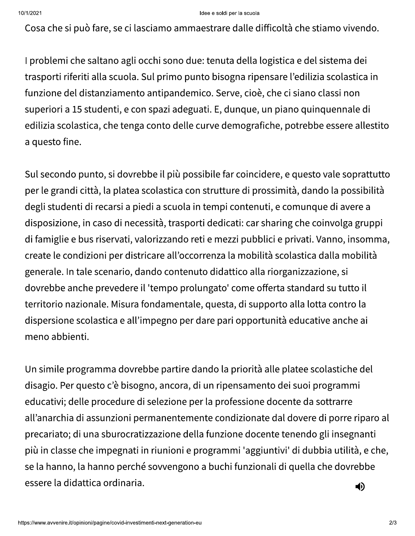## Idee e soldi per la scuola

Cosa che si può fare, se ci lasciamo ammaestrare dalle difficoltà che stiamo vivendo.

I problemi che saltano agli occhi sono due: tenuta della logistica e del sistema dei trasporti riferiti alla scuola. Sul primo punto bisogna ripensare l'edilizia scolastica in funzione del distanziamento antipandemico. Serve, cioè, che ci siano classi non superiori a 15 studenti, e con spazi adeguati. E, dunque, un piano quinquennale di edilizia scolastica, che tenga conto delle curve demografiche, potrebbe essere allestito a questo fine.

Sul secondo punto, si dovrebbe il più possibile far coincidere, e questo vale soprattutto per le grandi città, la platea scolastica con strutture di prossimità, dando la possibilità degli studenti di recarsi a piedi a scuola in tempi contenuti, e comunque di avere a disposizione, in caso di necessità, trasporti dedicati: car sharing che coinvolga gruppi di famiglie e bus riservati, valorizzando reti e mezzi pubblici e privati. Vanno, insomma, create le condizioni per districare all'occorrenza la mobilità scolastica dalla mobilità generale. In tale scenario, dando contenuto didattico alla riorganizzazione, si dovrebbe anche prevedere il 'tempo prolungato' come offerta standard su tutto il territorio nazionale. Misura fondamentale, questa, di supporto alla lotta contro la dispersione scolastica e all'impegno per dare pari opportunità educative anche ai meno abbienti.

Un simile programma dovrebbe partire dando la priorità alle platee scolastiche del disagio. Per questo c'è bisogno, ancora, di un ripensamento dei suoi programmi educativi; delle procedure di selezione per la professione docente da sottrarre all'anarchia di assunzioni permanentemente condizionate dal dovere di porre riparo al precariato; di una sburocratizzazione della funzione docente tenendo gli insegnanti più in classe che impegnati in riunioni e programmi 'aggiuntivi' di dubbia utilità, e che, se la hanno, la hanno perché sovvengono a buchi funzionali di quella che dovrebbe essere la didattica ordinaria. 4)

https://www.avvenire.it/opinioni/pagine/covid-investimenti-next-generation-eu